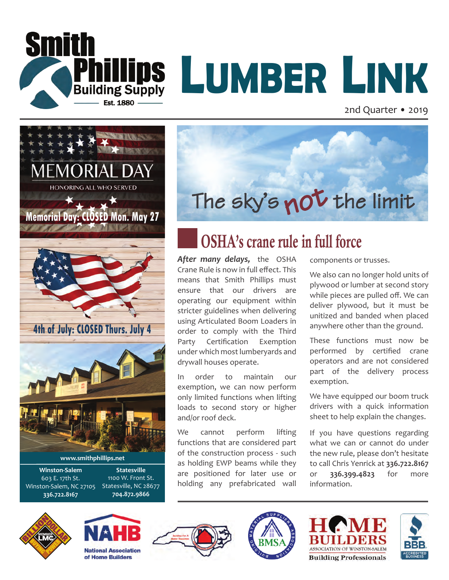

# **LUMBER LINK**

2nd Quarter • 2019





## OSHA's crane rule in full force

*After many delays,* the OSHA Crane Rule is now in full effect. This means that Smith Phillips must ensure that our drivers are operating our equipment within stricter guidelines when delivering using Articulated Boom Loaders in order to comply with the Third Party Certification Exemption under which most lumberyards and drywall houses operate.

In order to maintain our exemption, we can now perform only limited functions when lifting loads to second story or higher and/or roof deck.

We cannot perform lifting functions that are considered part of the construction process - such as holding EWP beams while they are positioned for later use or holding any prefabricated wall

components or trusses.

We also can no longer hold units of plywood or lumber at second story while pieces are pulled off. We can deliver plywood, but it must be unitized and banded when placed anywhere other than the ground.

These functions must now be performed by certified crane operators and are not considered part of the delivery process exemption.

We have equipped our boom truck drivers with a quick information sheet to help explain the changes.

If you have questions regarding what we can or cannot do under the new rule, please don't hesitate to call Chris Yenrick at **336.722.8167** or **336.399.4823** for more information.